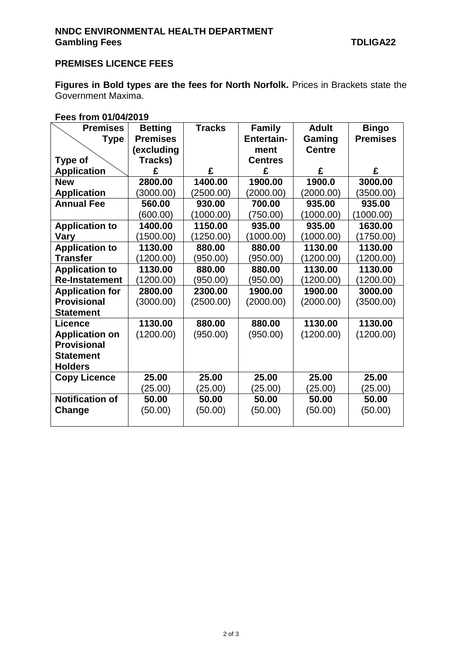## **PREMISES LICENCE FEES**

**Figures in Bold types are the fees for North Norfolk.** Prices in Brackets state the Government Maxima.

## **Fees from 01/04/2019**

| <b>Premises</b>        | <b>Betting</b>  | <b>Tracks</b> | <b>Family</b>     | <b>Adult</b>  | <b>Bingo</b>    |
|------------------------|-----------------|---------------|-------------------|---------------|-----------------|
| <b>Type</b>            | <b>Premises</b> |               | <b>Entertain-</b> | Gaming        | <b>Premises</b> |
|                        | (excluding      |               | ment              | <b>Centre</b> |                 |
| <b>Type of</b>         | Tracks)         |               | <b>Centres</b>    |               |                 |
| <b>Application</b>     | £               | £             | £                 | £             | £               |
| <b>New</b>             | 2800.00         | 1400.00       | 1900.00           | 1900.0        | 3000.00         |
| <b>Application</b>     | (3000.00)       | (2500.00)     | (2000.00)         | (2000.00)     | (3500.00)       |
| <b>Annual Fee</b>      | 560.00          | 930.00        | 700.00            | 935.00        | 935.00          |
|                        | (600.00)        | (1000.00)     | (750.00)          | (1000.00)     | (1000.00)       |
| <b>Application to</b>  | 1400.00         | 1150.00       | 935.00            | 935.00        | 1630.00         |
| Vary                   | (1500.00)       | (1250.00)     | (1000.00)         | (1000.00)     | (1750.00)       |
| <b>Application to</b>  | 1130.00         | 880.00        | 880.00            | 1130.00       | 1130.00         |
| <b>Transfer</b>        | (1200.00)       | (950.00)      | (950.00)          | (1200.00)     | (1200.00)       |
| <b>Application to</b>  | 1130.00         | 880.00        | 880.00            | 1130.00       | 1130.00         |
| <b>Re-Instatement</b>  | (1200.00)       | (950.00)      | (950.00)          | (1200.00)     | (1200.00)       |
| <b>Application for</b> | 2800.00         | 2300.00       | 1900.00           | 1900.00       | 3000.00         |
| <b>Provisional</b>     | (3000.00)       | (2500.00)     | (2000.00)         | (2000.00)     | (3500.00)       |
| <b>Statement</b>       |                 |               |                   |               |                 |
| <b>Licence</b>         | 1130.00         | 880.00        | 880.00            | 1130.00       | 1130.00         |
| <b>Application on</b>  | (1200.00)       | (950.00)      | (950.00)          | (1200.00)     | (1200.00)       |
| <b>Provisional</b>     |                 |               |                   |               |                 |
| <b>Statement</b>       |                 |               |                   |               |                 |
| <b>Holders</b>         |                 |               |                   |               |                 |
| <b>Copy Licence</b>    | 25.00           | 25.00         | 25.00             | 25.00         | 25.00           |
|                        | (25.00)         | (25.00)       | (25.00)           | (25.00)       | (25.00)         |
| <b>Notification of</b> | 50.00           | 50.00         | 50.00             | 50.00         | 50.00           |
| Change                 | (50.00)         | (50.00)       | (50.00)           | (50.00)       | (50.00)         |
|                        |                 |               |                   |               |                 |